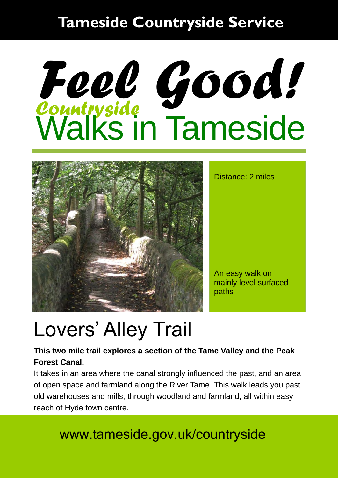### **Tameside Countryside Service**

# *Countryside*  Walks in Tameside *Feel Good!*



Distance: 2 miles

An easy walk on mainly level surfaced paths

## Lovers' Alley Trail

#### **This two mile trail explores a section of the Tame Valley and the Peak Forest Canal.**

It takes in an area where the canal strongly influenced the past, and an area of open space and farmland along the River Tame. This walk leads you past old warehouses and mills, through woodland and farmland, all within easy reach of Hyde town centre.

### www.tameside.gov.uk/countryside